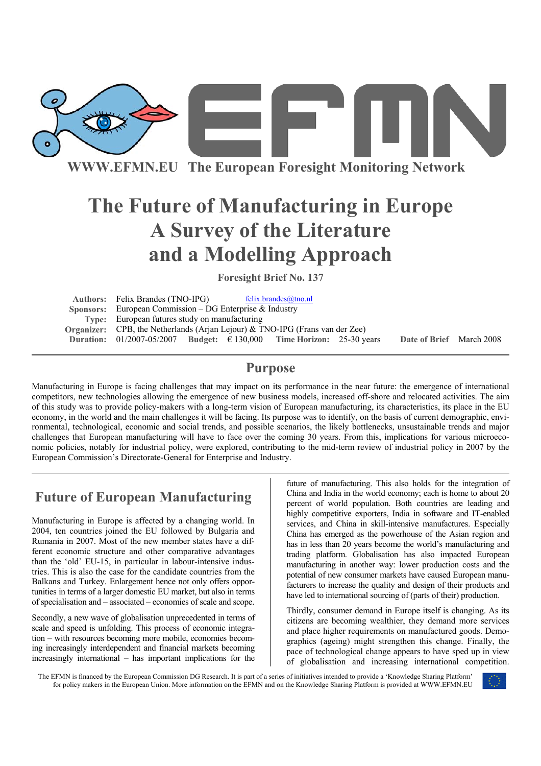

**WWW.EFMN.EU The European Foresight Monitoring Network**

# **The Future of Manufacturing in Europe A Survey of the Literature and a Modelling Approach**

**Foresight Brief No. 137** 

Authors: Felix Brandes (TNO-IPG) felix.brandes@tno.nl **Sponsors:** European Commission – DG Enterprise & Industry **Type:** European futures study on manufacturing **Organizer:** CPB, the Netherlands (Arjan Lejour) & TNO-IPG (Frans van der Zee) **Duration:** 01/2007-05/2007 **Budget:** € 130,000 **Time Horizon:** 25-30 years **Date of Brief** March 2008

### **Purpose**

Manufacturing in Europe is facing challenges that may impact on its performance in the near future: the emergence of international competitors, new technologies allowing the emergence of new business models, increased off-shore and relocated activities. The aim of this study was to provide policy-makers with a long-term vision of European manufacturing, its characteristics, its place in the EU economy, in the world and the main challenges it will be facing. Its purpose was to identify, on the basis of current demographic, environmental, technological, economic and social trends, and possible scenarios, the likely bottlenecks, unsustainable trends and major challenges that European manufacturing will have to face over the coming 30 years. From this, implications for various microeconomic policies, notably for industrial policy, were explored, contributing to the mid-term review of industrial policy in 2007 by the European Commission's Directorate-General for Enterprise and Industry.

## **Future of European Manufacturing**

Manufacturing in Europe is affected by a changing world. In 2004, ten countries joined the EU followed by Bulgaria and Rumania in 2007. Most of the new member states have a different economic structure and other comparative advantages than the 'old' EU-15, in particular in labour-intensive industries. This is also the case for the candidate countries from the Balkans and Turkey. Enlargement hence not only offers opportunities in terms of a larger domestic EU market, but also in terms of specialisation and – associated – economies of scale and scope.

Secondly, a new wave of globalisation unprecedented in terms of scale and speed is unfolding. This process of economic integration – with resources becoming more mobile, economies becoming increasingly interdependent and financial markets becoming increasingly international – has important implications for the

future of manufacturing. This also holds for the integration of China and India in the world economy; each is home to about 20 percent of world population. Both countries are leading and highly competitive exporters, India in software and IT-enabled services, and China in skill-intensive manufactures. Especially China has emerged as the powerhouse of the Asian region and has in less than 20 years become the world's manufacturing and trading platform. Globalisation has also impacted European manufacturing in another way: lower production costs and the potential of new consumer markets have caused European manufacturers to increase the quality and design of their products and have led to international sourcing of (parts of their) production.

Thirdly, consumer demand in Europe itself is changing. As its citizens are becoming wealthier, they demand more services and place higher requirements on manufactured goods. Demographics (ageing) might strengthen this change. Finally, the pace of technological change appears to have sped up in view of globalisation and increasing international competition.

The EFMN is financed by the European Commission DG Research. It is part of a series of initiatives intended to provide a 'Knowledge Sharing Platform' for policy makers in the European Union. More information on the EFMN and on the Knowledge Sharing Platform is provided at WWW.EFMN.EU

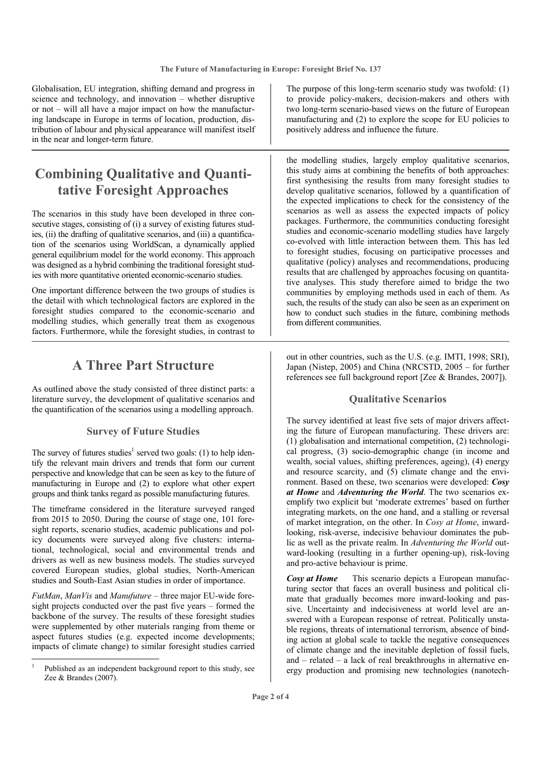Globalisation, EU integration, shifting demand and progress in science and technology, and innovation – whether disruptive or not – will all have a major impact on how the manufacturing landscape in Europe in terms of location, production, distribution of labour and physical appearance will manifest itself in the near and longer-term future.

## **Combining Qualitative and Quantitative Foresight Approaches**

The scenarios in this study have been developed in three consecutive stages, consisting of (i) a survey of existing futures studies, (ii) the drafting of qualitative scenarios, and (iii) a quantification of the scenarios using WorldScan, a dynamically applied general equilibrium model for the world economy. This approach was designed as a hybrid combining the traditional foresight studies with more quantitative oriented economic-scenario studies.

One important difference between the two groups of studies is the detail with which technological factors are explored in the foresight studies compared to the economic-scenario and modelling studies, which generally treat them as exogenous factors. Furthermore, while the foresight studies, in contrast to

## **A Three Part Structure**

As outlined above the study consisted of three distinct parts: a literature survey, the development of qualitative scenarios and the quantification of the scenarios using a modelling approach.

#### **Survey of Future Studies**

The survey of futures studies<sup>1</sup> served two goals: (1) to help identify the relevant main drivers and trends that form our current perspective and knowledge that can be seen as key to the future of manufacturing in Europe and (2) to explore what other expert groups and think tanks regard as possible manufacturing futures.

The timeframe considered in the literature surveyed ranged from 2015 to 2050. During the course of stage one, 101 foresight reports, scenario studies, academic publications and policy documents were surveyed along five clusters: international, technological, social and environmental trends and drivers as well as new business models. The studies surveyed covered European studies, global studies, North-American studies and South-East Asian studies in order of importance.

*FutMan*, *ManVis* and *Manufuture* – three major EU-wide foresight projects conducted over the past five years – formed the backbone of the survey. The results of these foresight studies were supplemented by other materials ranging from theme or aspect futures studies (e.g. expected income developments; impacts of climate change) to similar foresight studies carried

The purpose of this long-term scenario study was twofold: (1) to provide policy-makers, decision-makers and others with two long-term scenario-based views on the future of European manufacturing and (2) to explore the scope for EU policies to positively address and influence the future.

the modelling studies, largely employ qualitative scenarios, this study aims at combining the benefits of both approaches: first synthesising the results from many foresight studies to develop qualitative scenarios, followed by a quantification of the expected implications to check for the consistency of the scenarios as well as assess the expected impacts of policy packages. Furthermore, the communities conducting foresight studies and economic-scenario modelling studies have largely co-evolved with little interaction between them. This has led to foresight studies, focusing on participative processes and qualitative (policy) analyses and recommendations, producing results that are challenged by approaches focusing on quantitative analyses. This study therefore aimed to bridge the two communities by employing methods used in each of them. As such, the results of the study can also be seen as an experiment on how to conduct such studies in the future, combining methods from different communities.

out in other countries, such as the U.S. (e.g. IMTI, 1998; SRI), Japan (Nistep, 2005) and China (NRCSTD, 2005 – for further references see full background report [Zee & Brandes, 2007]).

#### **Qualitative Scenarios**

The survey identified at least five sets of major drivers affecting the future of European manufacturing. These drivers are: (1) globalisation and international competition, (2) technological progress, (3) socio-demographic change (in income and wealth, social values, shifting preferences, ageing), (4) energy and resource scarcity, and (5) climate change and the environment. Based on these, two scenarios were developed: *Cosy at Home* and *Adventuring the World*. The two scenarios exemplify two explicit but 'moderate extremes' based on further integrating markets, on the one hand, and a stalling or reversal of market integration, on the other. In *Cosy at Home*, inwardlooking, risk-averse, indecisive behaviour dominates the public as well as the private realm. In *Adventuring the World* outward-looking (resulting in a further opening-up), risk-loving and pro-active behaviour is prime.

*Cosy at Home* This scenario depicts a European manufacturing sector that faces an overall business and political climate that gradually becomes more inward-looking and passive. Uncertainty and indecisiveness at world level are answered with a European response of retreat. Politically unstable regions, threats of international terrorism, absence of binding action at global scale to tackle the negative consequences of climate change and the inevitable depletion of fossil fuels, and – related – a lack of real breakthroughs in alternative energy production and promising new technologies (nanotech-

<sup>1</sup> Published as an independent background report to this study, see Zee & Brandes (2007).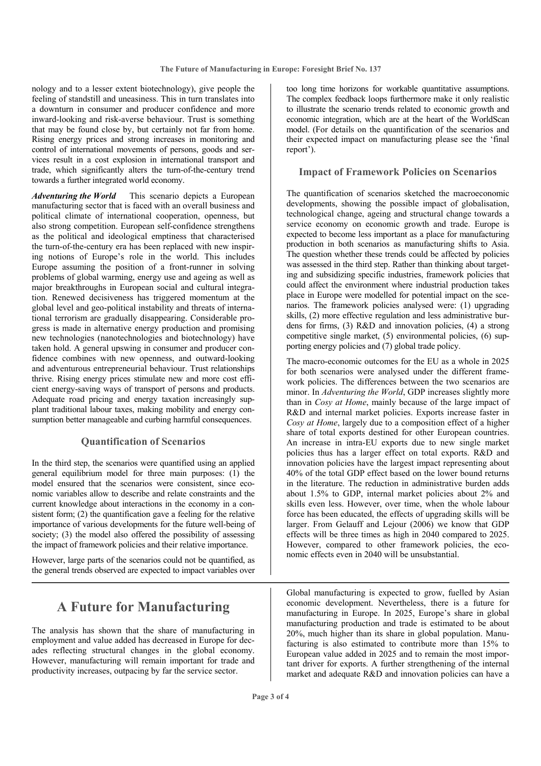nology and to a lesser extent biotechnology), give people the feeling of standstill and uneasiness. This in turn translates into a downturn in consumer and producer confidence and more inward-looking and risk-averse behaviour. Trust is something that may be found close by, but certainly not far from home. Rising energy prices and strong increases in monitoring and control of international movements of persons, goods and services result in a cost explosion in international transport and trade, which significantly alters the turn-of-the-century trend towards a further integrated world economy.

*Adventuring the World* This scenario depicts a European manufacturing sector that is faced with an overall business and political climate of international cooperation, openness, but also strong competition. European self-confidence strengthens as the political and ideological emptiness that characterised the turn-of-the-century era has been replaced with new inspiring notions of Europe's role in the world. This includes Europe assuming the position of a front-runner in solving problems of global warming, energy use and ageing as well as major breakthroughs in European social and cultural integration. Renewed decisiveness has triggered momentum at the global level and geo-political instability and threats of international terrorism are gradually disappearing. Considerable progress is made in alternative energy production and promising new technologies (nanotechnologies and biotechnology) have taken hold. A general upswing in consumer and producer confidence combines with new openness, and outward-looking and adventurous entrepreneurial behaviour. Trust relationships thrive. Rising energy prices stimulate new and more cost efficient energy-saving ways of transport of persons and products. Adequate road pricing and energy taxation increasingly supplant traditional labour taxes, making mobility and energy consumption better manageable and curbing harmful consequences.

#### **Quantification of Scenarios**

In the third step, the scenarios were quantified using an applied general equilibrium model for three main purposes: (1) the model ensured that the scenarios were consistent, since economic variables allow to describe and relate constraints and the current knowledge about interactions in the economy in a consistent form; (2) the quantification gave a feeling for the relative importance of various developments for the future well-being of society; (3) the model also offered the possibility of assessing the impact of framework policies and their relative importance.

However, large parts of the scenarios could not be quantified, as the general trends observed are expected to impact variables over

## **A Future for Manufacturing**

The analysis has shown that the share of manufacturing in employment and value added has decreased in Europe for decades reflecting structural changes in the global economy. However, manufacturing will remain important for trade and productivity increases, outpacing by far the service sector.

too long time horizons for workable quantitative assumptions. The complex feedback loops furthermore make it only realistic to illustrate the scenario trends related to economic growth and economic integration, which are at the heart of the WorldScan model. (For details on the quantification of the scenarios and their expected impact on manufacturing please see the 'final report').

#### **Impact of Framework Policies on Scenarios**

The quantification of scenarios sketched the macroeconomic developments, showing the possible impact of globalisation, technological change, ageing and structural change towards a service economy on economic growth and trade. Europe is expected to become less important as a place for manufacturing production in both scenarios as manufacturing shifts to Asia. The question whether these trends could be affected by policies was assessed in the third step. Rather than thinking about targeting and subsidizing specific industries, framework policies that could affect the environment where industrial production takes place in Europe were modelled for potential impact on the scenarios. The framework policies analysed were: (1) upgrading skills, (2) more effective regulation and less administrative burdens for firms, (3) R&D and innovation policies, (4) a strong competitive single market, (5) environmental policies, (6) supporting energy policies and (7) global trade policy.

The macro-economic outcomes for the EU as a whole in 2025 for both scenarios were analysed under the different framework policies. The differences between the two scenarios are minor. In *Adventuring the World*, GDP increases slightly more than in *Cosy at Home*, mainly because of the large impact of R&D and internal market policies. Exports increase faster in *Cosy at Home*, largely due to a composition effect of a higher share of total exports destined for other European countries. An increase in intra-EU exports due to new single market policies thus has a larger effect on total exports. R&D and innovation policies have the largest impact representing about 40% of the total GDP effect based on the lower bound returns in the literature. The reduction in administrative burden adds about 1.5% to GDP, internal market policies about 2% and skills even less. However, over time, when the whole labour force has been educated, the effects of upgrading skills will be larger. From Gelauff and Lejour (2006) we know that GDP effects will be three times as high in 2040 compared to 2025. However, compared to other framework policies, the economic effects even in 2040 will be unsubstantial.

Global manufacturing is expected to grow, fuelled by Asian economic development. Nevertheless, there is a future for manufacturing in Europe. In 2025, Europe's share in global manufacturing production and trade is estimated to be about 20%, much higher than its share in global population. Manufacturing is also estimated to contribute more than 15% to European value added in 2025 and to remain the most important driver for exports. A further strengthening of the internal market and adequate R&D and innovation policies can have a